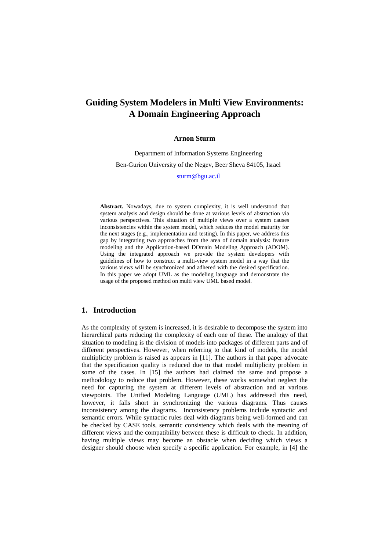# **Guiding System Modelers in Multi View Environments: A Domain Engineering Approach**

#### **Arnon Sturm**

Department of Information Systems Engineering Ben-Gurion University of the Negev, Beer Sheva 84105, Israel

sturm@bgu.ac.il

**Abstract.** Nowadays, due to system complexity, it is well understood that system analysis and design should be done at various levels of abstraction via various perspectives. This situation of multiple views over a system causes inconsistencies within the system model, which reduces the model maturity for the next stages (e.g., implementation and testing). In this paper, we address this gap by integrating two approaches from the area of domain analysis: feature modeling and the Application-based DOmain Modeling Approach (ADOM). Using the integrated approach we provide the system developers with guidelines of how to construct a multi-view system model in a way that the various views will be synchronized and adhered with the desired specification. In this paper we adopt UML as the modeling language and demonstrate the usage of the proposed method on multi view UML based model.

# **1. Introduction**

As the complexity of system is increased, it is desirable to decompose the system into hierarchical parts reducing the complexity of each one of these. The analogy of that situation to modeling is the division of models into packages of different parts and of different perspectives. However, when referring to that kind of models, the model multiplicity problem is raised as appears in [11]. The authors in that paper advocate that the specification quality is reduced due to that model multiplicity problem in some of the cases. In [15] the authors had claimed the same and propose a methodology to reduce that problem. However, these works somewhat neglect the need for capturing the system at different levels of abstraction and at various viewpoints. The Unified Modeling Language (UML) has addressed this need, however, it falls short in synchronizing the various diagrams. Thus causes inconsistency among the diagrams. Inconsistency problems include syntactic and semantic errors. While syntactic rules deal with diagrams being well-formed and can be checked by CASE tools, semantic consistency which deals with the meaning of different views and the compatibility between these is difficult to check. In addition, having multiple views may become an obstacle when deciding which views a designer should choose when specify a specific application. For example, in [4] the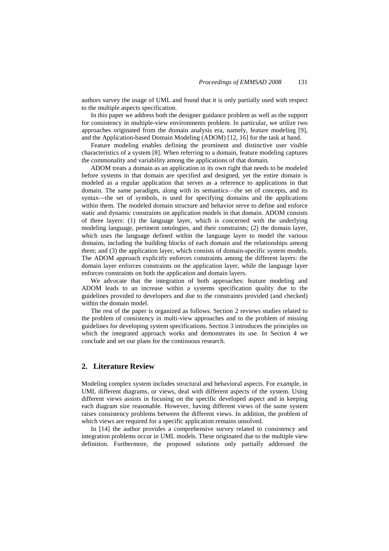authors survey the usage of UML and found that it is only partially used with respect to the multiple aspects specification.

In this paper we address both the designer guidance problem as well as the support for consistency in multiple-view environments problem. In particular, we utilize two approaches originated from the domain analysis era, namely, feature modeling [9], and the Application-based Domain Modeling (ADOM) [12, 16] for the task at hand.

Feature modeling enables defining the prominent and distinctive user visible characteristics of a system [8]. When referring to a domain, feature modeling captures the commonality and variability among the applications of that domain.

ADOM treats a domain as an application in its own right that needs to be modeled before systems in that domain are specified and designed, yet the entire domain is modeled as a regular application that serves as a reference to applications in that domain. The same paradigm, along with its semantics—the set of concepts, and its syntax—the set of symbols, is used for specifying domains and the applications within them. The modeled domain structure and behavior serve to define and enforce static and dynamic constraints on application models in that domain. ADOM consists of three layers: (1) the language layer, which is concerned with the underlying modeling language, pertinent ontologies, and their constraints; (2) the domain layer, which uses the language defined within the language layer to model the various domains, including the building blocks of each domain and the relationships among them; and (3) the application layer, which consists of domain-specific system models. The ADOM approach explicitly enforces constraints among the different layers: the domain layer enforces constraints on the application layer, while the language layer enforces constraints on both the application and domain layers.

We advocate that the integration of both approaches: feature modeling and ADOM leads to an increase within a systems specification quality due to the guidelines provided to developers and due to the constraints provided (and checked) within the domain model.

The rest of the paper is organized as follows. Section 2 reviews studies related to the problem of consistency in multi-view approaches and to the problem of missing guidelines for developing system specifications. Section 3 introduces the principles on which the integrated approach works and demonstrates its use. In Section 4 we conclude and set our plans for the continuous research.

# **2. Literature Review**

Modeling complex system includes structural and behavioral aspects. For example, in UML different diagrams, or views, deal with different aspects of the system. Using different views assists in focusing on the specific developed aspect and in keeping each diagram size reasonable. However, having different views of the same system raises consistency problems between the different views. In addition, the problem of which views are required for a specific application remains unsolved.

In [14] the author provides a comprehensive survey related to consistency and integration problems occur in UML models. These originated due to the multiple view definition. Furthermore, the proposed solutions only partially addressed the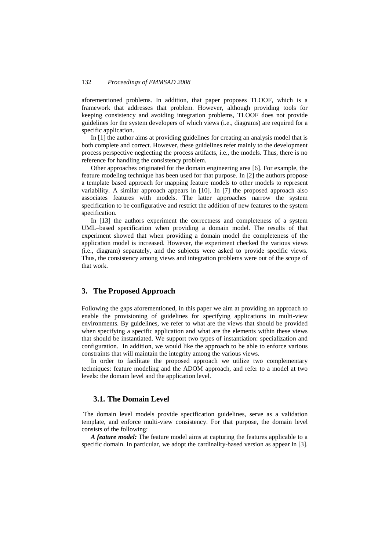aforementioned problems. In addition, that paper proposes TLOOF, which is a framework that addresses that problem. However, although providing tools for keeping consistency and avoiding integration problems, TLOOF does not provide guidelines for the system developers of which views (i.e., diagrams) are required for a specific application.

In [1] the author aims at providing guidelines for creating an analysis model that is both complete and correct. However, these guidelines refer mainly to the development process perspective neglecting the process artifacts, i.e., the models. Thus, there is no reference for handling the consistency problem.

Other approaches originated for the domain engineering area [6]. For example, the feature modeling technique has been used for that purpose. In [2] the authors propose a template based approach for mapping feature models to other models to represent variability. A similar approach appears in [10]. In [7] the proposed approach also associates features with models. The latter approaches narrow the system specification to be configurative and restrict the addition of new features to the system specification.

In [13] the authors experiment the correctness and completeness of a system UML–based specification when providing a domain model. The results of that experiment showed that when providing a domain model the completeness of the application model is increased. However, the experiment checked the various views (i.e., diagram) separately, and the subjects were asked to provide specific views. Thus, the consistency among views and integration problems were out of the scope of that work.

## **3. The Proposed Approach**

Following the gaps aforementioned, in this paper we aim at providing an approach to enable the provisioning of guidelines for specifying applications in multi-view environments. By guidelines, we refer to what are the views that should be provided when specifying a specific application and what are the elements within these views that should be instantiated. We support two types of instantiation: specialization and configuration. In addition, we would like the approach to be able to enforce various constraints that will maintain the integrity among the various views.

 In order to facilitate the proposed approach we utilize two complementary techniques: feature modeling and the ADOM approach, and refer to a model at two levels: the domain level and the application level.

# **3.1. The Domain Level**

 The domain level models provide specification guidelines, serve as a validation template, and enforce multi-view consistency. For that purpose, the domain level consists of the following:

*A feature model:* The feature model aims at capturing the features applicable to a specific domain. In particular, we adopt the cardinality-based version as appear in [3].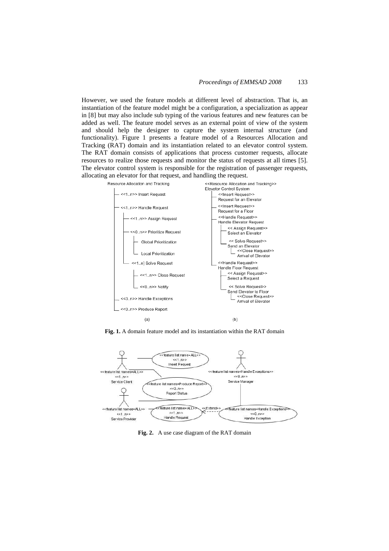However, we used the feature models at different level of abstraction. That is, an instantiation of the feature model might be a configuration, a specialization as appear in [8] but may also include sub typing of the various features and new features can be added as well. The feature model serves as an external point of view of the system and should help the designer to capture the system internal structure (and functionality). Figure 1 presents a feature model of a Resources Allocation and Tracking (RAT) domain and its instantiation related to an elevator control system. The RAT domain consists of applications that process customer requests, allocate resources to realize those requests and monitor the status of requests at all times [5]. The elevator control system is responsible for the registration of passenger requests, allocating an elevator for that request, and handling the request.



**Fig. 1.** A domain feature model and its instantiation within the RAT domain



**Fig. 2.** A use case diagram of the RAT domain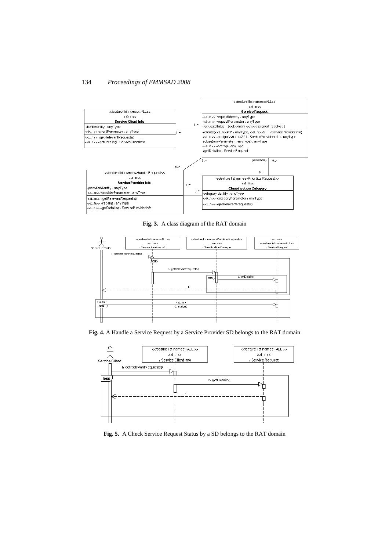

**Fig. 3.** A class diagram of the RAT domain



**Fig. 4.** A Handle a Service Request by a Service Provider SD belongs to the RAT domain



**Fig. 5.** A Check Service Request Status by a SD belongs to the RAT domain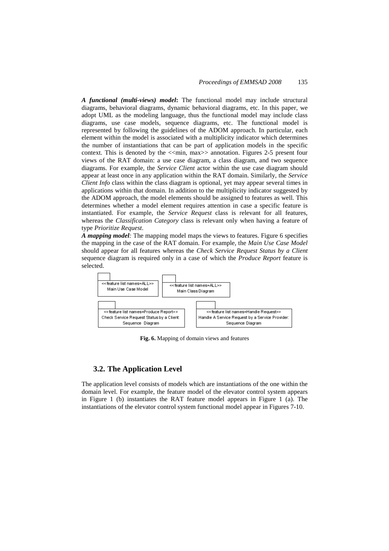*A functional (multi-views) model***:** The functional model may include structural diagrams, behavioral diagrams, dynamic behavioral diagrams, etc. In this paper, we adopt UML as the modeling language, thus the functional model may include class diagrams, use case models, sequence diagrams, etc. The functional model is represented by following the guidelines of the ADOM approach. In particular, each element within the model is associated with a multiplicity indicator which determines the number of instantiations that can be part of application models in the specific context. This is denoted by the  $\ll$ min, max $\gg$  annotation. Figures 2-5 present four views of the RAT domain: a use case diagram, a class diagram, and two sequence diagrams. For example, the *Service Client* actor within the use case diagram should appear at least once in any application within the RAT domain. Similarly, the *Service Client Info* class within the class diagram is optional, yet may appear several times in applications within that domain. In addition to the multiplicity indicator suggested by the ADOM approach, the model elements should be assigned to features as well. This determines whether a model element requires attention in case a specific feature is instantiated. For example, the *Service Request* class is relevant for all features, whereas the *Classification Category* class is relevant only when having a feature of type *Prioritize Request*.

*A mapping model:* The mapping model maps the views to features. Figure 6 specifies the mapping in the case of the RAT domain. For example, the *Main Use Case Model* should appear for all features whereas the *Check Service Request Status by a Client* sequence diagram is required only in a case of which the *Produce Report* feature is selected.



**Fig. 6.** Mapping of domain views and features

# **3.2. The Application Level**

The application level consists of models which are instantiations of the one within the domain level. For example, the feature model of the elevator control system appears in Figure 1 (b) instantiates the RAT feature model appears in Figure 1 (a). The instantiations of the elevator control system functional model appear in Figures 7-10.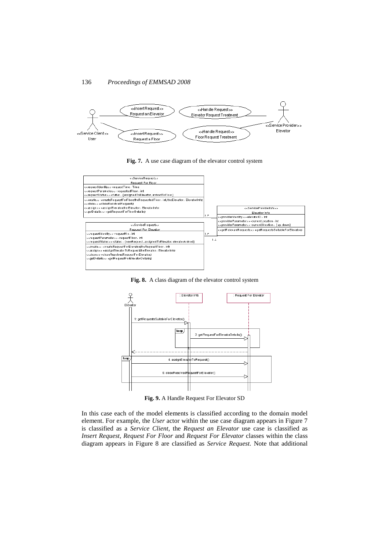









**Fig. 9.** A Handle Request For Elevator SD

In this case each of the model elements is classified according to the domain model element. For example, the *User* actor within the use case diagram appears in Figure 7 is classified as a *Service Client*, the *Request an Elevator* use case is classified as *Insert Request*, *Request For Floor* and *Request For Elevator* classes within the class diagram appears in Figure 8 are classified as *Service Request*. Note that additional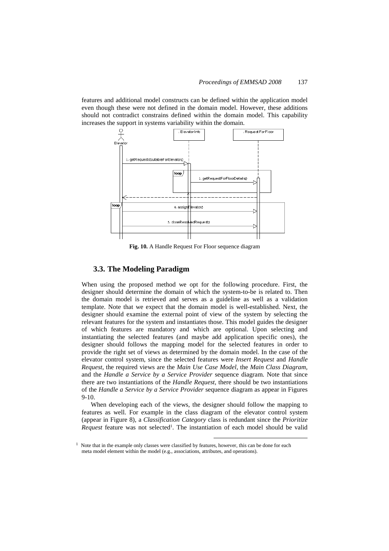features and additional model constructs can be defined within the application model even though these were not defined in the domain model. However, these additions should not contradict constrains defined within the domain model. This capability increases the support in systems variability within the domain.



**Fig. 10.** A Handle Request For Floor sequence diagram

# **3.3. The Modeling Paradigm**

When using the proposed method we opt for the following procedure. First, the designer should determine the domain of which the system-to-be is related to. Then the domain model is retrieved and serves as a guideline as well as a validation template. Note that we expect that the domain model is well-established. Next, the designer should examine the external point of view of the system by selecting the relevant features for the system and instantiates those. This model guides the designer of which features are mandatory and which are optional. Upon selecting and instantiating the selected features (and maybe add application specific ones), the designer should follows the mapping model for the selected features in order to provide the right set of views as determined by the domain model. In the case of the elevator control system, since the selected features were *Insert Request* and *Handle Request*, the required views are the *Main Use Case Model*, the *Main Class Diagram*, and the *Handle a Service by a Service Provider* sequence diagram. Note that since there are two instantiations of the *Handle Request*, there should be two instantiations of the *Handle a Service by a Service Provider* sequence diagram as appear in Figures 9-10.

When developing each of the views, the designer should follow the mapping to features as well. For example in the class diagram of the elevator control system (appear in Figure 8), a *Classification Category* class is redundant since the *Prioritize*  Request feature was not selected<sup>1</sup>. The instantiation of each model should be valid

 $\overline{a}$ 

<sup>&</sup>lt;sup>1</sup> Note that in the example only classes were classified by features, however, this can be done for each meta model element within the model (e.g., associations, attributes, and operations).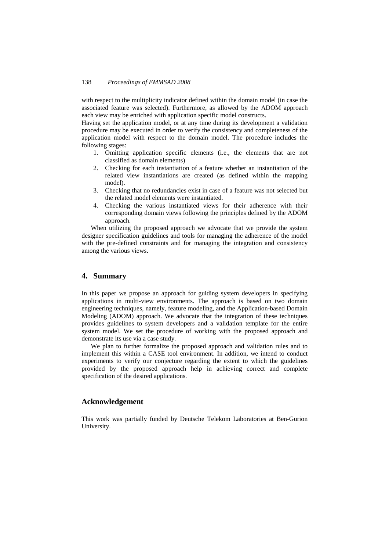with respect to the multiplicity indicator defined within the domain model (in case the associated feature was selected). Furthermore, as allowed by the ADOM approach each view may be enriched with application specific model constructs.

Having set the application model, or at any time during its development a validation procedure may be executed in order to verify the consistency and completeness of the application model with respect to the domain model. The procedure includes the following stages:

- 1. Omitting application specific elements (i.e., the elements that are not classified as domain elements)
- 2. Checking for each instantiation of a feature whether an instantiation of the related view instantiations are created (as defined within the mapping model).
- 3. Checking that no redundancies exist in case of a feature was not selected but the related model elements were instantiated.
- 4. Checking the various instantiated views for their adherence with their corresponding domain views following the principles defined by the ADOM approach.

When utilizing the proposed approach we advocate that we provide the system designer specification guidelines and tools for managing the adherence of the model with the pre-defined constraints and for managing the integration and consistency among the various views.

# **4. Summary**

In this paper we propose an approach for guiding system developers in specifying applications in multi-view environments. The approach is based on two domain engineering techniques, namely, feature modeling, and the Application-based Domain Modeling (ADOM) approach. We advocate that the integration of these techniques provides guidelines to system developers and a validation template for the entire system model. We set the procedure of working with the proposed approach and demonstrate its use via a case study.

We plan to further formalize the proposed approach and validation rules and to implement this within a CASE tool environment. In addition, we intend to conduct experiments to verify our conjecture regarding the extent to which the guidelines provided by the proposed approach help in achieving correct and complete specification of the desired applications.

### **Acknowledgement**

This work was partially funded by Deutsche Telekom Laboratories at Ben-Gurion University.